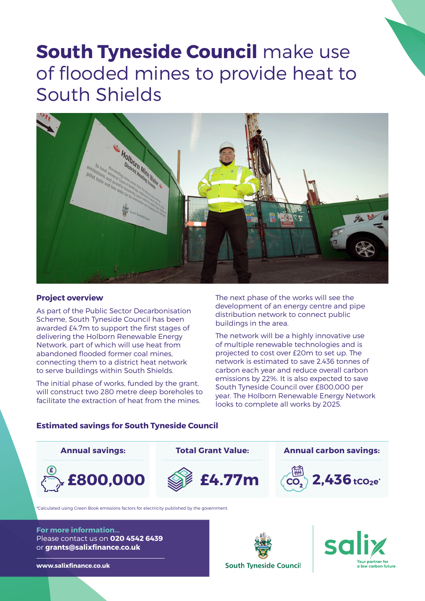# **South Tyneside Council** make use of flooded mines to provide heat to South Shields



### **Project overview**

As part of the Public Sector Decarbonisation Scheme, South Tyneside Council has been awarded £4.7m to support the first stages of delivering the Holborn Renewable Energy Network, part of which will use heat from abandoned flooded former coal mines, connecting them to a district heat network to serve buildings within South Shields.

The initial phase of works, funded by the grant, will construct two 280 metre deep boreholes to facilitate the extraction of heat from the mines.

The next phase of the works will see the development of an energy centre and pipe distribution network to connect public buildings in the area.

The network will be a highly innovative use of multiple renewable technologies and is projected to cost over £20m to set up. The network is estimated to save 2,436 tonnes of carbon each year and reduce overall carbon emissions by 22%. It is also expected to save South Tyneside Council over £800,000 per year. The Holborn Renewable Energy Network looks to complete all works by 2025.

### **Estimated savings for South Tyneside Council**



\*Calculated using Green Book emissions factors for electricity published by the government.

**For more information...** Please contact us on **020 4542 6439** or **grants@salixfinance.co.uk**





**www.salixfinance.co.uk**